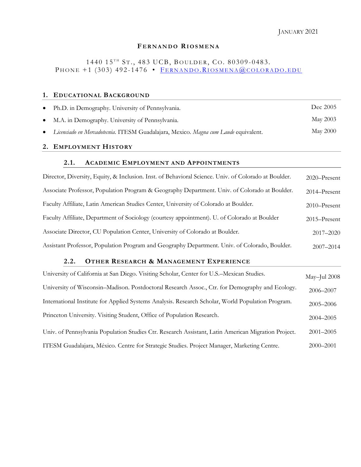## **F E R N A N D O RI O S M E N A**

1440 15<sup>TH</sup> ST., 483 UCB, BOULDER, CO. 80309-0483. PHONE  $+1$  (303) 492-1476 • FERNANDO.RIOSMENA@COLORADO.EDU

## **1. EDUCATIONAL BACKGROUND**

| Ph.D. in Demography. University of Pennsylvania.                                      | Dec 2005 |
|---------------------------------------------------------------------------------------|----------|
| • M.A. in Demography. University of Pennsylvania.                                     | May 2003 |
| • Licenciado en Mercadotecnia. ITESM Guadalajara, Mexico. Magna cum Laude equivalent. | May 2000 |

# **2. EMPLOYMENT HISTORY**

## **2.1. ACADEMIC EMPLOYMENT AND APPOINTMENTS**

| Director, Diversity, Equity, & Inclusion. Inst. of Behavioral Science. Univ. of Colorado at Boulder. | $2020 -$ Present |
|------------------------------------------------------------------------------------------------------|------------------|
| Associate Professor, Population Program & Geography Department. Univ. of Colorado at Boulder.        | $2014 -$ Present |
| Faculty Affiliate, Latin American Studies Center, University of Colorado at Boulder.                 | $2010 -$ Present |
| Faculty Affiliate, Department of Sociology (courtesy appointment). U. of Colorado at Boulder         | $2015 -$ Present |
| Associate Director, CU Population Center, University of Colorado at Boulder.                         | 2017-2020        |
| Assistant Professor, Population Program and Geography Department. Univ. of Colorado, Boulder.        | $2007 - 2014$    |

# **2.2. OTHER RESEARCH & MANAGEMENT EXPERIENCE**

| University of California at San Diego. Visiting Scholar, Center for U.S.–Mexican Studies.           | May-Jul 2008  |
|-----------------------------------------------------------------------------------------------------|---------------|
| University of Wisconsin–Madison. Postdoctoral Research Assoc., Ctr. for Demography and Ecology.     | 2006-2007     |
| International Institute for Applied Systems Analysis. Research Scholar, World Population Program.   | $2005 - 2006$ |
| Princeton University. Visiting Student, Office of Population Research.                              | $2004 - 2005$ |
| Univ. of Pennsylvania Population Studies Ctr. Research Assistant, Latin American Migration Project. | $2001 - 2005$ |
| ITESM Guadalajara, México. Centre for Strategic Studies. Project Manager, Marketing Centre.         | $2000 - 2001$ |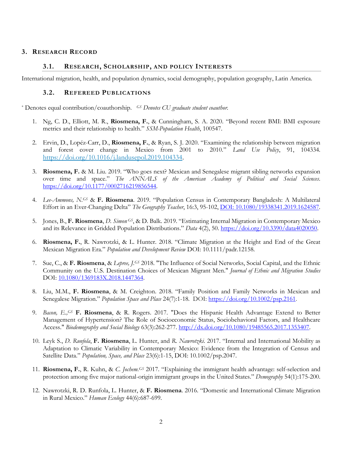## **3. RESEARCH RECORD**

### **3.1. RESEARCH, SCHOLARSHIP, AND POLICY INTERESTS**

International migration, health, and population dynamics, social demography, population geography, Latin America.

### **3.2. REFEREED PUBLICATIONS**

\* Denotes equal contribution/coauthorship. *GS Denotes CU graduate student coauthor.* 

- 1. Ng, C. D., Elliott, M. R., **Riosmena, F.**, & Cunningham, S. A. 2020. "Beyond recent BMI: BMI exposure metrics and their relationship to health." *SSM-Population Health*, 100547.
- 2. Ervin, D., Lopéz-Carr, D., **Riosmena, F.**, & Ryan, S. J. 2020. "Examining the relationship between migration and forest cover change in Mexico from 2001 to 2010." *Land Use Policy*, 91, 104334. [https://doi.org/10.1016/j.landusepol.2019.104334.](https://doi.org/10.1016/j.landusepol.2019.104334)
- 3. **Riosmena, F.** & M. Liu. 2019. "Who goes next? Mexican and Senegalese migrant sibling networks expansion over time and space." *The ANNALS of the American Academy of Political and Social Sciences*. [https://doi.org/10.1177/0002716219856544.](https://doi.org/10.1177/0002716219856544)
- 4. *Lee-Ammons, N.GS* & **F. Riosmena**. 2019. "Population Census in Contemporary Bangladesh: A Multilateral Effort in an Ever-Changing Delta" *The Geography Teacher*, 16:3, 95-102, [DOI: 10.1080/19338341.2019.1624587.](https://doi.org/10.1080/19338341.2019.1624587)
- 5. Jones, B., **F. Riosmena**, *D. Simon GS*, & D. Balk. 2019. "Estimating Internal Migration in Contemporary Mexico and its Relevance in Gridded Population Distributions." *Data* 4(2), 50. [https://doi.org/10.3390/data4020050.](https://doi.org/10.3390/data4020050)
- 6. **Riosmena, F.**, R. Nawrotzki, & L. Hunter. 2018. "Climate Migration at the Height and End of the Great Mexican Migration Era." *Population and Development Review* DOI: 10.1111/padr.12158.
- 7. Sue, C., & **F. Riosmena**, & *Lepree, J.GS* 2018. "The Influence of Social Networks, Social Capital, and the Ethnic Community on the U.S. Destination Choices of Mexican Migrant Men." *Journal of Ethnic and Migration Studies* DOI: [10.1080/1369183X.2018.1447364.](https://doi.org/10.1080/1369183X.2018.1447364)
- 8. Liu, M.M., **F. Riosmena**, & M. Creighton. 2018. "Family Position and Family Networks in Mexican and Senegalese Migration." *Population Space and Place* 24(7):1-18*.* DOI: [https://doi.org/10.1002/psp.2161.](https://doi.org/10.1002/psp.2161)
- 9. *Bacon, E.,GS* **F. Riosmena**, & R. Rogers. 2017. "Does the Hispanic Health Advantage Extend to Better Management of Hypertension? The Role of Socioeconomic Status, Sociobehavioral Factors, and Healthcare Access." *Biodemography and Social Biology* 63(3):262-277. [http://dx.doi.org/10.1080/19485565.2017.1353407.](http://dx.doi.org/10.1080/19485565.2017.1353407)
- 10. Leyk S., *D. Runfola*, **F. Riosmena**, L. Hunter, and *R. Nawrotzki*. 2017. "Internal and International Mobility as Adaptation to Climatic Variability in Contemporary Mexico: Evidence from the Integration of Census and Satellite Data." *Population, Space, and Place* 23(6):1-15, DOI: 10.1002/psp.2047.
- 11. **Riosmena, F.**, R. Kuhn, & *C. Jochem.GS* 2017. "Explaining the immigrant health advantage: self-selection and protection among five major national-origin immigrant groups in the United States." *Demography* 54(1):175-200.
- 12. Nawrotzki, R. D. Runfola, L. Hunter, & **F. Riosmena**. 2016. "Domestic and International Climate Migration in Rural Mexico." *Human Ecology* 44(6):687-699*.*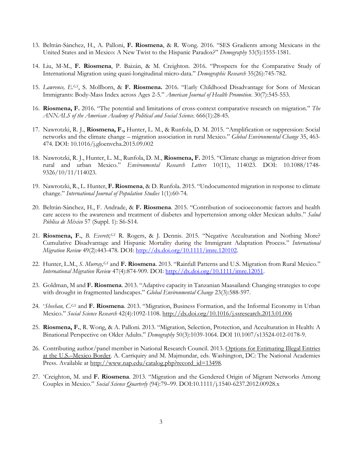- 13. Beltrán-Sánchez, H., A. Palloni, **F. Riosmena**, & R. Wong. 2016. "SES Gradients among Mexicans in the United States and in Mexico: A New Twist to the Hispanic Paradox?" *Demography* 53(5):1555-1581.
- 14. Liu, M-M., **F. Riosmena**, P. Baizán, & M. Creighton. 2016. "Prospects for the Comparative Study of International Migration using quasi-longitudinal micro-data." *Demographic Research* 35(26):745-782.
- 15. *Lawrence, E.GS*, S. Mollborn, & **F. Riosmena.** 2016. "Early Childhood Disadvantage for Sons of Mexican Immigrants: Body-Mass Index across Ages 2-5." *American Journal of Health Promotion*. 30(7):545-553.
- 16. **Riosmena, F.** 2016. "The potential and limitations of cross-context comparative research on migration." *The ANNALS of the American Academy of Political and Social Science.* 666(1):28-45.
- 17. Nawrotzki, R. J., **Riosmena, F.,** Hunter, L. M., & Runfola, D. M. 2015. "Amplification or suppression: Social networks and the climate change – migration association in rural Mexico." *Global Environmental Change* 35, 463- 474. DOI: 10.1016/j.gloenvcha.2015.09.002
- 18. Nawrotzki, R. J., Hunter, L. M., Runfola, D. M., **Riosmena, F.** 2015. "Climate change as migration driver from rural and urban Mexico." *Environmental Research Letters* 10(11), 114023. DOI: 10.1088/1748- 9326/10/11/114023.
- 19. Nawrotzki, R., L. Hunter, **F. Riosmena**, & D. Runfola. 2015. "Undocumented migration in response to climate change." *International Journal of Population Studies* 1(1):60-74*.*
- 20. Beltrán-Sánchez, H., F. Andrade, & **F. Riosmena**. 2015. "Contribution of socioeconomic factors and health care access to the awareness and treatment of diabetes and hypertension among older Mexican adults." *Salud Pública de México* 57 (Suppl. 1): S6-S14.
- 21. **Riosmena, F.**, *B. Everett,GS* R. Rogers, & J. Dennis. 2015. "Negative Acculturation and Nothing More? Cumulative Disadvantage and Hispanic Mortality during the Immigrant Adaptation Process." *International Migration Review* 49(2):443-478. DOI: [http://dx.doi.org/10.1111/imre.120102.](http://dx.doi.org/10.1111/imre.120102)
- 22. Hunter, L.M., *S. Murray,GS* and **F. Riosmena**. 2013. "Rainfall Patterns and U.S. Migration from Rural Mexico." *International Migration Review* 47(4):874-909. DOI[: http://dx.doi.org/10.1111/imre.12051.](http://dx.doi.org/10.1111/imre.12051)
- 23. Goldman, M and **F. Riosmena**. 2013. "Adaptive capacity in Tanzanian Maasailand: Changing strategies to cope with drought in fragmented landscapes." *Global Environmental Change* 23(3):588-597.
- 24. \**Sheehan, C.GS* and **F. Riosmena**. 2013. "Migration, Business Formation, and the Informal Economy in Urban Mexico." *Social Science Research* 42(4):1092-1108.<http://dx.doi.org/10.1016/j.ssresearch.2013.01.006>
- 25. **Riosmena, F.**, R. Wong, & A. Palloni. 2013. "Migration, Selection, Protection, and Acculturation in Health: A Binational Perspective on Older Adults." *Demography* 50(3):1039-1064. DOI 10.1007/s13524-012-0178-9.
- 26. Contributing author/panel member in National Research Council. 2013. Options for Estimating Illegal Entries at the U.S.–Mexico Border. A. Carriquiry and M. Majmundar, eds. Washington, DC: The National Academies Press. Available at [http://www.nap.edu/catalog.php?record\\_id=13498.](http://www.nap.edu/catalog.php?record_id=13498)
- 27. \*Creighton, M. and **F. Riosmena**. 2013. "Migration and the Gendered Origin of Migrant Networks Among Couples in Mexico." *Social Science Quarterly* (94):79–99. DOI:10.1111/j.1540-6237.2012.00928.x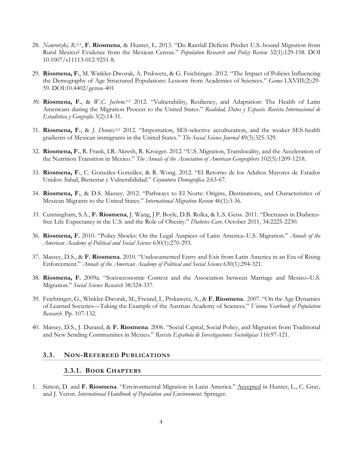- 28. *Nawrotzki, R.GS*, **F. Riosmena**, & Hunter, L. 2013. "Do Rainfall Deficits Predict U.S.-bound Migration from Rural Mexico? Evidence from the Mexican Census." *Population Research and Policy Review* 32(1):129-158. DOI 10.1007/s11113-012-9251-8.
- 29. **Riosmena, F.**, M. Winkler-Dworak, A. Prskwetz, & G. Feichtinger. 2012. "The Impact of Policies Influencing the Demography of Age Structured Populations: Lessons from Academies of Sciences." *Genus* LXVIII(2):29- 59*.* DOI:10.4402/genus-401
- *30.* **Riosmena, F.**, & *W.C. Jochem. GS* 2012. "Vulnerability, Resiliency, and Adaptation: The Health of Latin Americans during the Migration Process to the United States." *Realidad, Datos y Espacio. Revista Internacional de Estadística y Geografía* 3(2):14-31*.*
- 31. **Riosmena, F.**, & *J. Dennis. GS* 2012. "Importation, SES-selective acculturation, and the weaker SES-health gradients of Mexican immigrants in the United States." *The Social Science Journal* 49(3):325-329.
- 32. **Riosmena, F.**, R. Frank, I.R. Akresh, R. Kroeger. 2012. "U.S. Migration, Translocality, and the Acceleration of the Nutrition Transition in Mexico." *The Annals of the Association of American Geographers* 102(5):1209-1218.
- 33. **Riosmena, F.**, C. González-González, & R. Wong. 2012. "El Retorno de los Adultos Mayores de Estados Unidos: Salud, Bienestar y Vulnerabilidad." *Coyuntura Demográfica* 2:63-67.
- 34. **Riosmena, F.**, & D.S. Massey. 2012. "Pathways to El Norte: Origins, Destinations, and Characteristics of Mexican Migrants to the United States." *International Migration Review* 46(1):3-36.
- *35.* Cunningham, S.A., **F. Riosmena**, J. Wang, J.P. Boyle, D.B. Rolka, & L.S. Geiss. 2011. "Decreases in Diabetesfree Life Expectancy in the U.S. and the Role of Obesity." *Diabetes Care,* October 2011, 34:2225-2230*.*
- 36. **Riosmena, F.** 2010. "Policy Shocks: On the Legal Auspices of Latin America–U.S. Migration." *Annals of the American Academy of Political and Social Science* 630(1):270-293.
- 37. Massey, D.S., & **F. Riosmena**. 2010. "Undocumented Entry and Exit from Latin America in an Era of Rising Enforcement." *Annals of the American Academy of Political and Social Science* 630(1):294-321.
- 38. **Riosmena, F.** 2009a. "Socioeconomic Context and the Association between Marriage and Mexico–U.S. Migration." *Social Science Research* 38:324-337.
- 39. Feichtinger, G., Winkler-Dworak, M., Freund, I., Prskawetz, A., & **F. Riosmena**. 2007. "On the Age Dynamics of Learned Societies—Taking the Example of the Austrian Academy of Sciences." *Vienna Yearbook of Population Research*. Pp. 107-132.
- 40. Massey, D.S., J. Durand, & **F. Riosmena**. 2006. "Social Capital, Social Policy, and Migration from Traditional and New Sending Communities in Mexico." *Revista Española de Investigaciones Sociológicas* 116:97-121.

### **3.3. NON-REFEREED PUBLICATIONS**

### **3.3.1. BOOK CHAPTERS**

1. Simon, D. and **F. Riosmena**. "Environmental Migration in Latin America." Accepted in Hunter, L., C. Gray, and J. Veron. *International Handbook of Population and Environment*. Springer.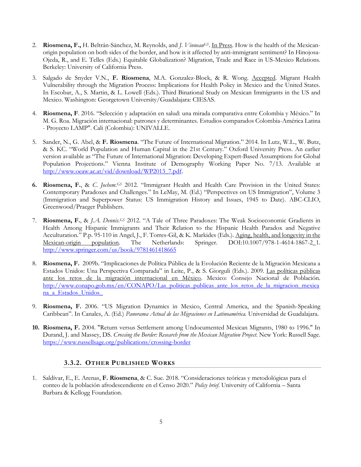- 2. **Riosmena, F.,** H. Beltrán-Sánchez, M. Reynolds, and *J. VinneauGS*. In Press. How is the health of the Mexicanorigin population on both sides of the border, and how is it affected by anti-immigrant sentiment? In Hinojosa-Ojeda, R., and E. Telles (Eds.) Equitable Globalization? Migration, Trade and Race in US-Mexico Relations. Berkeley: University of California Press.
- 3. Salgado de Snyder V.N., **F. Riosmena**, M.A. Gonzalez-Block, & R. Wong. Accepted. Migrant Health Vulnerability through the Migration Process: Implications for Health Policy in Mexico and the United States. In Escobar, A., S. Martin, & L. Lowell (Eds.). Third Binational Study on Mexican Immigrants in the US and Mexico. Washington: Georgetown University/Guadalajara: CIESAS.
- 4. **Riosmena, F**. 2016. "Selección y adaptación en salud: una mirada comparativa entre Colombia y México." In M. G. Roa. Migración internacional: patrones y determinantes. Estudios comparados Colombia-América Latina - Proyecto LAMP". Cali (Colombia): UNIVALLE.
- 5. Sander, N., G. Abel, & **F. Riosmena**. "The Future of International Migration." 2014. In Lutz, W.L., W. Butz, & S. KC. "World Population and Human Capital in the 21st Century." Oxford University Press. An earlier version available as "The Future of International Migration: Developing Expert-Based Assumptions for Global Population Projections." Vienna Institute of Demography Working Paper No. 7/13. Available at [http://www.oeaw.ac.at/vid/download/WP2013\\_7.pdf.](http://www.oeaw.ac.at/vid/download/WP2013_7.pdf)
- **6. Riosmena, F.**, & *C. Jochem. GS* 2012. "Immigrant Health and Health Care Provision in the United States: Contemporary Paradoxes and Challenges." In LeMay, M. (Ed.) "Perspectives on US Immigration", Volume 3 (Immigration and Superpower Status: US Immigration History and Issues, 1945 to Date). ABC-CLIO, Greenwood/Praeger Publishers.
- 7. **Riosmena, F.**, & *J.A. Dennis. GS* 2012. "A Tale of Three Paradoxes: The Weak Socioeconomic Gradients in Health Among Hispanic Immigrants and Their Relation to the Hispanic Health Paradox and Negative Acculturation." P.p. 95-110 in Angel, J., F. Torres-Gil, & K. Markides (Eds.). Aging, health, and longevity in the Mexican-origin population. The Netherlands: Springer. DOI:10.1007/978-1-4614-1867-2\_1. <http://www.springer.com/us/book/9781461418665>
- 8. **Riosmena, F.** 2009b. "Implicaciones de Política Pública de la Evolución Reciente de la Migración Mexicana a Estados Unidos: Una Perspectiva Comparada" in Leite, P., & S. Giorguli (Eds.). 2009. Las políticas públicas ante los retos de la migración internacional en México. Mexico: Consejo Nacional de Población. [http://www.conapo.gob.mx/en/CONAPO/Las\\_politicas\\_publicas\\_ante\\_los\\_retos\\_de\\_la\\_migracion\\_mexica](http://www.conapo.gob.mx/en/CONAPO/Las_politicas_publicas_ante_los_retos_de_la_migracion_mexicana_a_Estados_Unidos_) [na\\_a\\_Estados\\_Unidos\\_](http://www.conapo.gob.mx/en/CONAPO/Las_politicas_publicas_ante_los_retos_de_la_migracion_mexicana_a_Estados_Unidos_)
- 9. **Riosmena, F.** 2006. "US Migration Dynamics in Mexico, Central America, and the Spanish-Speaking Caribbean". In Canales, A. (Ed.) *Panorama Actual de las Migraciones en Latinoamérica.* Universidad de Guadalajara.
- **10. Riosmena, F.** 2004. "Return versus Settlement among Undocumented Mexican Migrants, 1980 to 1996." In Durand, J. and Massey, DS. *Crossing the Border: Research from the Mexican Migration Project*. New York: Russell Sage. <https://www.russellsage.org/publications/crossing-border>

## **3.3.2. OTHER PUBLISHED WORKS**

1. Saldívar, E., E. Arenas, **F. Riosmena**, & C. Sue. 2018. "Consideraciones teóricas y metodológicas para el conteo de la población afrodescendiente en el Censo 2020." *Policy brief*. University of California – Santa Barbara & Kellogg Foundation.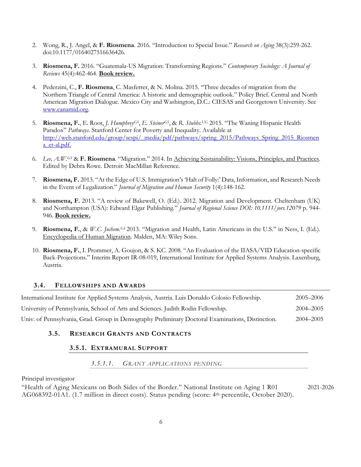- 2. Wong, R., J. Angel, & **F. Riosmena**. 2016. "Introduction to Special Issue." *Research on Aging* 38(3):259-262. doi:10.1177/0164027516636426.
- 3. **Riosmena, F.** 2016. "Guatemala-US Migration: Transforming Regions." *Contemporary Sociology: A Journal of Reviews* 45(4):462-464. **Book review.**
- 4. Pederzini, C., **F. Riosmena**, C. Masferrer, & N. Molina. 2015. "Three decades of migration from the Northern Triangle of Central America: A historic and demographic outlook." Policy Brief. Central and North American Migration Dialogue. Mexico City and Washington, D.C.: CIESAS and Georgetown University. See [www.canamid.org.](http://www.canamid.org/)
- 5. **Riosmena, F.**, E. Root, *J. HumphreyGS*, *E. SteinerGS*, & *R. Stubbs. UG* 2015. "The Waning Hispanic Health Paradox" *Pathways*. Stanford Center for Poverty and Inequality. Available at [http://web.stanford.edu/group/scspi/\\_media/pdf/pathways/spring\\_2015/Pathways\\_Spring\\_2015\\_Riosmen](http://web.stanford.edu/group/scspi/_media/pdf/pathways/spring_2015/Pathways_Spring_2015_Riosmena_et-al.pdf) [a\\_et-al.pdf.](http://web.stanford.edu/group/scspi/_media/pdf/pathways/spring_2015/Pathways_Spring_2015_Riosmena_et-al.pdf)
- 6. *Lee, A.W.GS* & **F. Riosmena**. "Migration." 2014. In Achieving Sustainability: Visions, Principles, and Practices. Edited by Debra Rowe. Detroit: MacMillan Reference.
- 7. **Riosmena, F.** 2013. "At the Edge of U.S. Immigration's 'Halt of Folly:' Data, Information, and Research Needs in the Event of Legalization." *Journal of Migration and Human Security* 1(4):148-162.
- 8. **Riosmena, F.** 2013. "A review of Bakewell, O. (Ed.). 2012. Migration and Development. Cheltenham (UK) and Northampton (USA): Edward Elgar Publishing." *Journal of Regional Science DOI: 10.1111/jors.12079* p. 944- 946. **Book review.**
- 9. **Riosmena, F.**, & *W.C. Jochem.GS* 2013. "Migration and Health, Latin Americans in the U.S." in Ness, I. (Ed.). Encyclopedia of Human Migration. Malden, MA: Wiley Sons.
- 10. **Riosmena, F.**, I. Prommer, A. Goujon, & S. KC. 2008. "An Evaluation of the IIASA/VID Education-specific Back-Projections." Interim Report IR-08-019, International Institute for Applied Systems Analysis. Laxenburg, Austria.

## **3.4. FELLOWSHIPS AND AWARDS**

| International Institute for Applied Systems Analysis, Austria. Luis Donaldo Colosio Fellowship.  | 2005–2006 |
|--------------------------------------------------------------------------------------------------|-----------|
| University of Pennsylvania, School of Arts and Sciences. Judith Rodin Fellowship.                | 2004–2005 |
| Univ. of Pennsylvania, Grad. Group in Demography Preliminary Doctoral Examinations, Distinction. | 2004–2005 |

### **3.5. RESEARCH GRANTS AND CONTRACTS**

### **3.5.1. EXTRAMURAL SUPPORT**

### *3.5.1.1. GRANT APPLICATIONS PENDING*

Principal investigator

"Health of Aging Mexicans on Both Sides of the Border." National Institute on Aging 1 R01 AG068392-01A1. (1.7 million in direct costs). Status pending (score: 4th percentile, October 2020). 2021-2026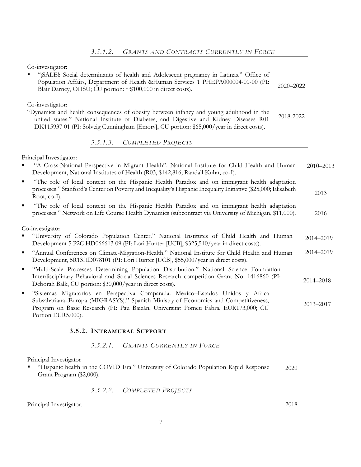Co-investigator:

| "¡SALE!: Social determinants of health and Adolescent pregnancy in Latinas." Office of<br>$\blacksquare$<br>Population Affairs, Department of Health &Human Services 1 PHEPA000004-01-00 (PI:<br>2020-2022<br>Blair Darney, OHSU; CU portion: ~\$100,000 in direct costs).                                    |           |
|---------------------------------------------------------------------------------------------------------------------------------------------------------------------------------------------------------------------------------------------------------------------------------------------------------------|-----------|
| Co-investigator:<br>"Dynamics and health consequences of obesity between infancy and young adulthood in the<br>2018-2022<br>united states." National Institute of Diabetes, and Digestive and Kidney Diseases R01<br>DK115937 01 (PI: Solveig Cunningham [Emory], CU portion: \$65,000/year in direct costs). |           |
| 3.5.1.3. COMPLETED PROJECTS                                                                                                                                                                                                                                                                                   |           |
| Principal Investigator:<br>"A Cross-National Perspective in Migrant Health". National Institute for Child Health and Human<br>Development, National Institutes of Health (R03, \$142,816; Randall Kuhn, co-I).                                                                                                | 2010-2013 |
| "The role of local context on the Hispanic Health Paradox and on immigrant health adaptation<br>×,<br>processes." Stanford's Center on Poverty and Inequality's Hispanic Inequality Initiative (\$25,000; Elisabeth<br>Root, co-I).                                                                           | 2013      |
| "The role of local context on the Hispanic Health Paradox and on immigrant health adaptation<br>٠<br>processes." Network on Life Course Health Dynamics (subcontract via University of Michigan, \$11,000).                                                                                                   | 2016      |
| Co-investigator:                                                                                                                                                                                                                                                                                              |           |
| "University of Colorado Population Center." National Institutes of Child Health and Human<br>Development 5 P2C HD066613 09 (PI: Lori Hunter [UCB], \$325,510/year in direct costs).                                                                                                                           | 2014-2019 |
| "Annual Conferences on Climate-Migration-Health." National Institute for Child Health and Human<br>٠<br>Development, 5R13HD078101 (PI: Lori Hunter [UCB], \$55,000/year in direct costs).                                                                                                                     | 2014-2019 |
| "Multi-Scale Processes Determining Population Distribution." National Science Foundation<br>٠<br>Interdisciplinary Behavioral and Social Sciences Research competition Grant No. 1416860 (PI:<br>Deborah Balk, CU portion: \$30,000/year in direct costs).                                                    | 2014-2018 |
| "Sistemas Migratorios en Perspectiva Comparada: Mexico-Estados Unidos y Africa<br>٠<br>Subsahariana–Europa (MIGRASYS)." Spanish Ministry of Economics and Competitiveness,<br>Program on Basic Research (PI: Pau Baizán, Universitat Pomeu Fabra, EUR173,000; CU                                              | 2013-2017 |

## **3.5.2. INTRAMURAL SUPPORT**

## *3.5.2.1. GRANTS CURRENTLY IN FORCE*

Principal Investigator

Portion EUR5,000).

▪ "Hispanic health in the COVID Era." University of Colorado Population Rapid Response Grant Program (\$2,000). 2020

# *3.5.2.2. COMPLETED PROJECTS*

Principal Investigator. 2018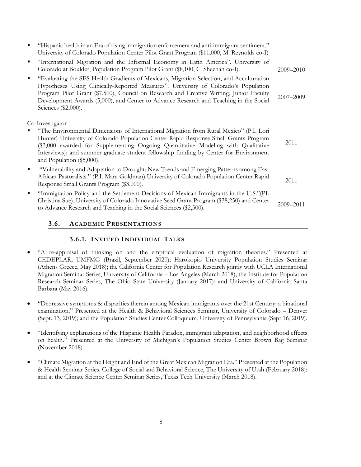| "Hispanic health in an Era of rising immigration enforcement and anti-immigrant sentiment."<br>University of Colorado Population Center Pilot Grant Program (\$11,000, M. Reynolds co-I)                                                                                                                                                                                                   |           |
|--------------------------------------------------------------------------------------------------------------------------------------------------------------------------------------------------------------------------------------------------------------------------------------------------------------------------------------------------------------------------------------------|-----------|
| "International Migration and the Informal Economy in Latin America". University of<br>Colorado at Boulder, Population Program Pilot Grant (\$8,100, C. Sheehan co-I).                                                                                                                                                                                                                      | 2009–2010 |
| "Evaluating the SES Health Gradients of Mexicans, Migration Selection, and Acculturation<br>Hypotheses Using Clinically-Reported Measures". University of Colorado's Population<br>Program Pilot Grant (\$7,500), Council on Research and Creative Writing, Junior Faculty<br>Development Awards (5,000), and Center to Advance Research and Teaching in the Social<br>Sciences (\$2,000). | 2007-2009 |
| Co-Investigator                                                                                                                                                                                                                                                                                                                                                                            |           |
| "The Environmental Dimensions of International Migration from Rural Mexico" (P.I. Lori<br>Hunter) University of Colorado Population Center Rapid Response Small Grants Program<br>\$3,000 awarded for Supplementing Ongoing Quantitative Modeling with Qualitative<br>Interviews); and summer graduate student fellowship funding by Center for Environment<br>and Population (\$5,000).   | 2011      |
| "Vulnerability and Adaptation to Drought: New Trends and Emerging Patterns among East<br>African Pastoralists." (P.I. Mara Goldman) University of Colorado Population Center Rapid<br>Response Small Grants Program (\$3,000).                                                                                                                                                             | 2011      |
| "Immigration Policy and the Settlement Decisions of Mexican Immigrants in the U.S."(PI:<br>Christina Sue). University of Colorado Innovative Seed Grant Program (\$38,250) and Center<br>to Advance Research and Teaching in the Social Sciences (\$2,500).                                                                                                                                | 2009-2011 |

## **3.6. ACADEMIC PRESENTATIONS**

## **3.6.1. INVITED INDIVIDUAL TALKS**

- "A re-appraisal of thinking on and the empirical evaluation of migration theories." Presented at CEDEPLAR, UMFMG (Brazil, September 2020); Harokopio University Population Studies Seminar (Athens Greece, May 2018); the California Center for Population Research jointly with UCLA International Migration Seminar Series, University of California – Los Angeles (March 2018); the Institute for Population Research Seminar Series, The Ohio State University (January 2017); and University of California Santa Barbara (May 2016).
- "Depressive symptoms & disparities therein among Mexican immigrants over the 21st Century: a binational examination." Presented at the Health & Behavioral Sciences Seminar, University of Colorado – Denver (Sept. 13, 2019); and the Population Studies Center Colloquium, University of Pennsylvania (Sept 16, 2019).
- "Identifying explanations of the Hispanic Health Paradox, immigrant adaptation, and neighborhood effects on health." Presented at the University of Michigan's Population Studies Center Brown Bag Seminar (November 2018).
- "Climate Migration at the Height and End of the Great Mexican Migration Era." Presented at the Population & Health Seminar Series. College of Social and Behavioral Science, The University of Utah (February 2018); and at the Climate Science Center Seminar Series, Texas Tech University (March 2018).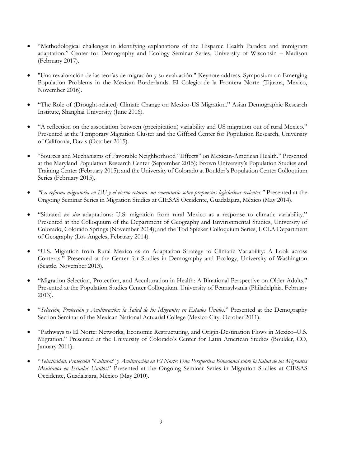- "Methodological challenges in identifying explanations of the Hispanic Health Paradox and immigrant adaptation." Center for Demography and Ecology Seminar Series, University of Wisconsin – Madison (February 2017).
- "Una revaloración de las teorías de migración y su evaluación." Keynote address. Symposium on Emerging Population Problems in the Mexican Borderlands. El Colegio de la Frontera Norte (Tijuana, Mexico, November 2016).
- "The Role of (Drought-related) Climate Change on Mexico-US Migration." Asian Demographic Research Institute, Shanghai University (June 2016).
- "A reflection on the association between (precipitation) variability and US migration out of rural Mexico." Presented at the Temporary Migration Cluster and the Gifford Center for Population Research, University of California, Davis (October 2015).
- "Sources and Mechanisms of Favorable Neighborhood "Effects" on Mexican-American Health." Presented at the Maryland Population Research Center (September 2015); Brown University's Population Studies and Training Center (February 2015); and the University of Colorado at Boulder's Population Center Colloquium Series (February 2015).
- *"La reforma migratoria en EU y el eterno retorno: un comentario sobre propuestas legislativas recientes."* Presented at the Ongoing Seminar Series in Migration Studies at CIESAS Occidente, Guadalajara, México (May 2014).
- "Situated *ex situ* adaptations: U.S. migration from rural Mexico as a response to climatic variability." Presented at the Colloquium of the Department of Geography and Environmental Studies, University of Colorado, Colorado Springs (November 2014); and the Tod Spieker Colloquium Series, UCLA Department of Geography (Los Angeles, February 2014).
- "U.S. Migration from Rural Mexico as an Adaptation Strategy to Climatic Variability: A Look across Contexts." Presented at the Center for Studies in Demography and Ecology, University of Washington (Seattle. November 2013).
- "Migration Selection, Protection, and Acculturation in Health: A Binational Perspective on Older Adults." Presented at the Population Studies Center Colloquium. University of Pennsylvania (Philadelphia. February 2013).
- "*Selección, Protección y Aculturación: la Salud de los Migrantes en Estados Unidos.*" Presented at the Demography Section Seminar of the Mexican National Actuarial College (Mexico City. October 2011).
- "Pathways to El Norte: Networks, Economic Restructuring, and Origin-Destination Flows in Mexico–U.S. Migration." Presented at the University of Colorado's Center for Latin American Studies (Boulder, CO, January 2011).
- "*Selectividad, Protección "Cultural" y Aculturación en El Norte: Una Perspectiva Binacional sobre la Salud de los Migrantes Mexicanos en Estados Unidos.*" Presented at the Ongoing Seminar Series in Migration Studies at CIESAS Occidente, Guadalajara, México (May 2010).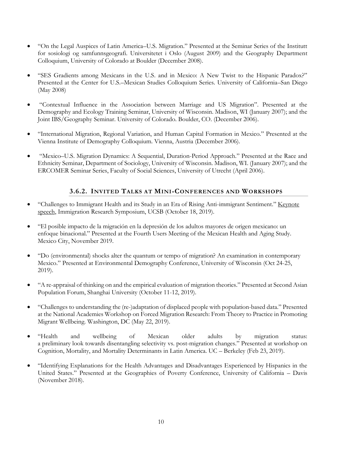- "On the Legal Auspices of Latin America–U.S. Migration." Presented at the Seminar Series of the Institutt for sosiologi og samfunnsgeografi. Universitetet i Oslo (August 2009) and the Geography Department Colloquium, University of Colorado at Boulder (December 2008).
- "SES Gradients among Mexicans in the U.S. and in Mexico: A New Twist to the Hispanic Paradox?" Presented at the Center for U.S.–Mexican Studies Colloquium Series. University of California–San Diego (May 2008)
- "Contextual Influence in the Association between Marriage and US Migration". Presented at the Demography and Ecology Training Seminar, University of Wisconsin. Madison, WI (January 2007); and the Joint IBS/Geography Seminar. University of Colorado. Boulder, CO. (December 2006).
- "International Migration, Regional Variation, and Human Capital Formation in Mexico." Presented at the Vienna Institute of Demography Colloquium. Vienna, Austria (December 2006).
- "Mexico–U.S. Migration Dynamics: A Sequential, Duration-Period Approach." Presented at the Race and Ethnicity Seminar, Department of Sociology, University of Wisconsin. Madison, WI. (January 2007); and the ERCOMER Seminar Series, Faculty of Social Sciences, University of Utrecht (April 2006).

# **3.6.2. INVITED TALKS AT MINI-CONFERENCES AND WORKSHOPS**

- "Challenges to Immigrant Health and its Study in an Era of Rising Anti-immigrant Sentiment." Keynote speech, Immigration Research Symposium, UCSB (October 18, 2019).
- "El posible impacto de la migración en la depresión de los adultos mayores de origen mexicano: un enfoque binacional." Presented at the Fourth Users Meeting of the Mexican Health and Aging Study. Mexico City, November 2019.
- "Do (environmental) shocks alter the quantum or tempo of migration? An examination in contemporary Mexico." Presented at Environmental Demography Conference, University of Wisconsin (Oct 24-25, 2019).
- "A re-appraisal of thinking on and the empirical evaluation of migration theories." Presented at Second Asian Population Forum, Shanghai University (October 11-12, 2019).
- "Challenges to understanding the (re-)adaptation of displaced people with population-based data." Presented at the National Academies Workshop on Forced Migration Research: From Theory to Practice in Promoting Migrant Wellbeing. Washington, DC (May 22, 2019).
- "Health and wellbeing of Mexican older adults by migration status: a preliminary look towards disentangling selectivity vs. post-migration changes." Presented at workshop on Cognition, Mortality, and Mortality Determinants in Latin America. UC – Berkeley (Feb 23, 2019).
- "Identifying Explanations for the Health Advantages and Disadvantages Experienced by Hispanics in the United States." Presented at the Geographies of Poverty Conference, University of California – Davis (November 2018).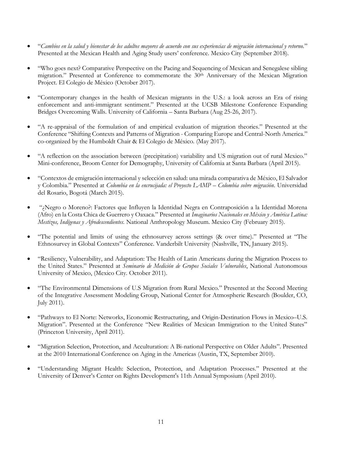- "*Cambios en la salud y bienestar de los adultos mayores de acuerdo con sus experiencias de migración internacional y retorno.*" Presented at the Mexican Health and Aging Study users' conference. Mexico City (September 2018).
- "Who goes next? Comparative Perspective on the Pacing and Sequencing of Mexican and Senegalese sibling migration." Presented at Conference to commemorate the 30<sup>th</sup> Anniversary of the Mexican Migration Project. El Colegio de México (October 2017).
- "Contemporary changes in the health of Mexican migrants in the U.S.: a look across an Era of rising enforcement and anti-immigrant sentiment." Presented at the UCSB Milestone Conference Expanding Bridges Overcoming Walls. University of California – Santa Barbara (Aug 25-26, 2017).
- "A re-appraisal of the formulation of and empirical evaluation of migration theories." Presented at the Conference "Shifting Contexts and Patterns of Migration - Comparing Europe and Central-North America." co-organized by the Humboldt Chair & El Colegio de México. (May 2017).
- "A reflection on the association between (precipitation) variability and US migration out of rural Mexico." Mini-conference, Broom Center for Demography, University of California at Santa Barbara (April 2015).
- "Contextos de emigración internacional y selección en salud: una mirada comparativa de México, El Salvador y Colombia." Presented at *Colombia en la encrucijada: el Proyecto LAMP – Colombia sobre migración*. Universidad del Rosario, Bogotá (March 2015).
- "¿Negro o Moreno?: Factores que Influyen la Identidad Negra en Contraposición a la Identidad Morena (Afro) en la Costa Chica de Guerrero y Oaxaca." Presented at *Imaginarios Nacionales en México y América Latina: Mestizos, Indígenas y Afrodescendientes.* National Anthropology Museum. Mexico City (February 2015).
- "The potential and limits of using the ethnosurvey across settings (& over time)." Presented at "The Ethnosurvey in Global Contexts" Conference. Vanderbilt University (Nashville, TN, January 2015).
- "Resiliency, Vulnerability, and Adaptation: The Health of Latin Americans during the Migration Process to the United States." Presented at *Seminario de Medición de Grupos Sociales Vulnerables*, National Autonomous University of Mexico, (Mexico City. October 2011).
- "The Environmental Dimensions of U.S Migration from Rural Mexico." Presented at the Second Meeting of the Integrative Assessment Modeling Group, National Center for Atmospheric Research (Boulder, CO, July 2011).
- "Pathways to El Norte: Networks, Economic Restructuring, and Origin-Destination Flows in Mexico–U.S. Migration". Presented at the Conference "New Realities of Mexican Immigration to the United States" (Princeton University, April 2011).
- "Migration Selection, Protection, and Acculturation: A Bi-national Perspective on Older Adults". Presented at the 2010 International Conference on Aging in the Americas (Austin, TX, September 2010).
- "Understanding Migrant Health: Selection, Protection, and Adaptation Processes." Presented at the University of Denver's Center on Rights Development's 11th Annual Symposium (April 2010).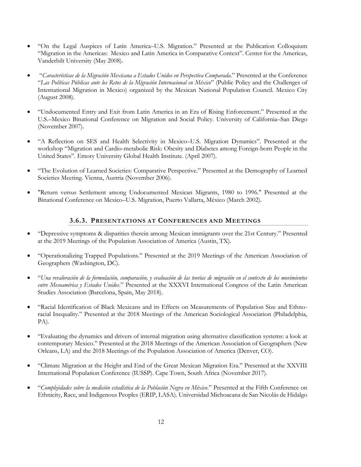- "On the Legal Auspices of Latin America–U.S. Migration." Presented at the Publication Colloquium "Migration in the Americas: Mexico and Latin America in Comparative Context". Center for the Americas, Vanderbilt University (May 2008).
- "*Características de la Migración Mexicana a Estados Unidos en Perspectiva Comparada*." Presented at the Conference "*Las Políticas Públicas ante los Retos de la Migración Internacional en México*" (Public Policy and the Challenges of International Migration in Mexico) organized by the Mexican National Population Council. Mexico City (August 2008).
- "Undocumented Entry and Exit from Latin America in an Era of Rising Enforcement." Presented at the U.S.–Mexico Binational Conference on Migration and Social Policy. University of California–San Diego (November 2007).
- "A Reflection on SES and Health Selectivity in Mexico–U.S. Migration Dynamics". Presented at the workshop "Migration and Cardio-metabolic Risk: Obesity and Diabetes among Foreign-born People in the United States". Emory University Global Health Institute. (April 2007).
- "The Evolution of Learned Societies: Comparative Perspective." Presented at the Demography of Learned Societies Meeting. Vienna, Austria (November 2006).
- "Return versus Settlement among Undocumented Mexican Migrants, 1980 to 1996." Presented at the Binational Conference on Mexico–U.S. Migration, Puerto Vallarta, México (March 2002).

# **3.6.3. PRESENTATIONS AT CONFERENCES AND MEETINGS**

- "Depressive symptoms & disparities therein among Mexican immigrants over the 21st Century." Presented at the 2019 Meetings of the Population Association of America (Austin, TX).
- "Operationalizing Trapped Populations." Presented at the 2019 Meetings of the American Association of Geographers (Washington, DC).
- "*Una revaloración de la formulación, comparación, y evaluación de las teorías de migración en el contexto de los movimientos entre Mesoamérica y Estados Unidos*." Presented at the XXXVI International Congress of the Latin American Studies Association (Barcelona, Spain, May 2018).
- "Racial Identification of Black Mexicans and its Effects on Measurements of Population Size and Ethnoracial Inequality." Presented at the 2018 Meetings of the American Sociological Association (Philadelphia, PA).
- "Evaluating the dynamics and drivers of internal migration using alternative classification systems: a look at contemporary Mexico." Presented at the 2018 Meetings of the American Association of Geographers (New Orleans, LA) and the 2018 Meetings of the Population Association of America (Denver, CO).
- "Climate Migration at the Height and End of the Great Mexican Migration Era." Presented at the XXVIII International Population Conference (IUSSP). Cape Town, South Africa (November 2017).
- "*Complejidades sobre la medición estadística de la Población Negra en México*." Presented at the Fifth Conference on Ethnicity, Race, and Indigenous Peoples (ERIP, LASA). Universidad Michoacana de San Nicolás de Hidalgo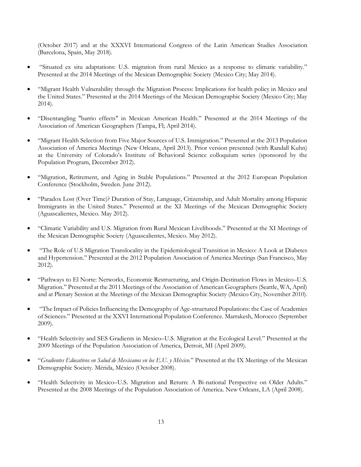(October 2017) and at the XXXVI International Congress of the Latin American Studies Association (Barcelona, Spain, May 2018).

- "Situated ex situ adaptations: U.S. migration from rural Mexico as a response to climatic variability." Presented at the 2014 Meetings of the Mexican Demographic Society (Mexico City; May 2014).
- "Migrant Health Vulnerability through the Migration Process: Implications for health policy in Mexico and the United States." Presented at the 2014 Meetings of the Mexican Demographic Society (Mexico City; May 2014).
- "Disentangling "barrio effects" in Mexican American Health." Presented at the 2014 Meetings of the Association of American Geographers (Tampa, Fl; April 2014).
- "Migrant Health Selection from Five Major Sources of U.S. Immigration." Presented at the 2013 Population Association of America Meetings (New Orleans, April 2013). Prior version presented (with Randall Kuhn) at the University of Colorado's Institute of Behavioral Science colloquium series (sponsored by the Population Program, December 2012).
- "Migration, Retirement, and Aging in Stable Populations." Presented at the 2012 European Population Conference (Stockholm, Sweden. June 2012).
- "Paradox Lost (Over Time)? Duration of Stay, Language, Citizenship, and Adult Mortality among Hispanic Immigrants in the United States." Presented at the XI Meetings of the Mexican Demographic Society (Aguascalientes, Mexico. May 2012).
- "Climatic Variability and U.S. Migration from Rural Mexican Livelihoods." Presented at the XI Meetings of the Mexican Demographic Society (Aguascalientes, Mexico. May 2012).
- "The Role of U.S Migration Translocality in the Epidemiological Transition in Mexico: A Look at Diabetes and Hypertension." Presented at the 2012 Population Association of America Meetings (San Francisco, May 2012).
- "Pathways to El Norte: Networks, Economic Restructuring, and Origin-Destination Flows in Mexico–U.S. Migration." Presented at the 2011 Meetings of the Association of American Geographers (Seattle, WA, April) and at Plenary Session at the Meetings of the Mexican Demographic Society (Mexico City, November 2010).
- "The Impact of Policies Influencing the Demography of Age-structured Populations: the Case of Academies of Sciences." Presented at the XXVI International Population Conference. Marrakesh, Morocco (September 2009).
- "Health Selectivity and SES Gradients in Mexico–U.S. Migration at the Ecological Level." Presented at the 2009 Meetings of the Population Association of America, Detroit, MI (April 2009).
- "*Gradientes Educativos en Salud de Mexicanos en los E.U. y México.*" Presented at the IX Meetings of the Mexican Demographic Society. Mérida, México (October 2008).
- "Health Selectivity in Mexico–U.S. Migration and Return: A Bi-national Perspective on Older Adults." Presented at the 2008 Meetings of the Population Association of America. New Orleans, LA (April 2008).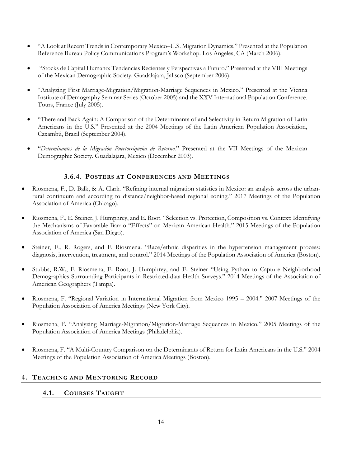- "A Look at Recent Trends in Contemporary Mexico–U.S. Migration Dynamics." Presented at the Population Reference Bureau Policy Communications Program's Workshop. Los Angeles, CA (March 2006).
- "Stocks de Capital Humano: Tendencias Recientes y Perspectivas a Futuro." Presented at the VIII Meetings of the Mexican Demographic Society. Guadalajara, Jalisco (September 2006).
- "Analyzing First Marriage-Migration/Migration-Marriage Sequences in Mexico." Presented at the Vienna Institute of Demography Seminar Series (October 2005) and the XXV International Population Conference. Tours, France (July 2005).
- "There and Back Again: A Comparison of the Determinants of and Selectivity in Return Migration of Latin Americans in the U.S." Presented at the 2004 Meetings of the Latin American Population Association, Caxambú, Brazil (September 2004).
- "*Determinantes de la Migración Puertorriqueña de Retorno.*" Presented at the VII Meetings of the Mexican Demographic Society. Guadalajara, Mexico (December 2003).

# **3.6.4. POSTERS AT CONFERENCES AND MEETINGS**

- Riosmena, F., D. Balk, & A. Clark. "Refining internal migration statistics in Mexico: an analysis across the urbanrural continuum and according to distance/neighbor-based regional zoning." 2017 Meetings of the Population Association of America (Chicago).
- Riosmena, F., E. Steiner, J. Humphrey, and E. Root. "Selection vs. Protection, Composition vs. Context: Identifying the Mechanisms of Favorable Barrio "Effects" on Mexican-American Health." 2015 Meetings of the Population Association of America (San Diego).
- Steiner, E., R. Rogers, and F. Riosmena. "Race/ethnic disparities in the hypertension management process: diagnosis, intervention, treatment, and control." 2014 Meetings of the Population Association of America (Boston).
- Stubbs, R.W., F. Riosmena, E. Root, J. Humphrey, and E. Steiner "Using Python to Capture Neighborhood Demographics Surrounding Participants in Restricted-data Health Surveys." 2014 Meetings of the Association of American Geographers (Tampa).
- Riosmena, F. "Regional Variation in International Migration from Mexico 1995 2004." 2007 Meetings of the Population Association of America Meetings (New York City).
- Riosmena, F. "Analyzing Marriage-Migration/Migration-Marriage Sequences in Mexico." 2005 Meetings of the Population Association of America Meetings (Philadelphia).
- Riosmena, F. "A Multi-Country Comparison on the Determinants of Return for Latin Americans in the U.S." 2004 Meetings of the Population Association of America Meetings (Boston).

# **4. TEACHING AND MENTORING RECORD**

## **4.1. COURSES TAUGHT**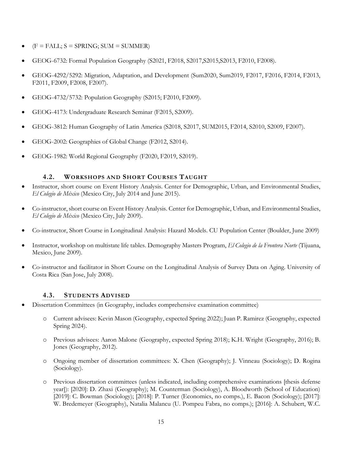- $(F = \text{FALL}; S = \text{SPRING}; \text{SUM} = \text{SUMMER})$
- GEOG-6732: Formal Population Geography (S2021, F2018, S2017,S2015,S2013, F2010, F2008).
- GEOG-4292/5292: Migration, Adaptation, and Development (Sum2020, Sum2019, F2017, F2016, F2014, F2013, F2011, F2009, F2008, F2007).
- GEOG-4732/5732: Population Geography (S2015; F2010, F2009).
- GEOG-4173: Undergraduate Research Seminar (F2015, S2009).
- GEOG-3812: Human Geography of Latin America (S2018, S2017, SUM2015, F2014, S2010, S2009, F2007).
- GEOG-2002: Geographies of Global Change (F2012, S2014).
- GEOG-1982: World Regional Geography (F2020, F2019, S2019).

# **4.2. WORKSHOPS AND SHORT COURSES TAUGHT**

- Instructor, short course on Event History Analysis. Center for Demographic, Urban, and Environmental Studies, *El Colegio de México* (Mexico City, July 2014 and June 2015).
- Co-instructor, short course on Event History Analysis. Center for Demographic, Urban, and Environmental Studies, *El Colegio de México* (Mexico City, July 2009).
- Co-instructor, Short Course in Longitudinal Analysis: Hazard Models. CU Population Center (Boulder, June 2009)
- Instructor, workshop on multistate life tables. Demography Masters Program, *El Colegio de la Frontera Norte* (Tijuana, Mexico, June 2009).
- Co-instructor and facilitator in Short Course on the Longitudinal Analysis of Survey Data on Aging. University of Costa Rica (San Jose, July 2008).

## **4.3. STUDENTS ADVISED**

- Dissertation Committees (in Geography, includes comprehensive examination committee)
	- o Current advisees: Kevin Mason (Geography, expected Spring 2022); Juan P. Ramirez (Geography, expected Spring 2024).
	- o Previous advisees: Aaron Malone (Geography, expected Spring 2018); K.H. Wright (Geography, 2016); B. Jones (Geography, 2012).
	- o Ongoing member of dissertation committees: X. Chen (Geography); J. Vinneau (Sociology); D. Rogina (Sociology).
	- o Previous dissertation committees (unless indicated, including comprehensive examinations [thesis defense year]): [2020]: D. Zhaxi (Geography); M. Counterman (Sociology), A. Bloodworth (School of Education) [2019]: C. Bowman (Sociology); [2018]: P. Turner (Economics, no comps.), E. Bacon (Sociology); [2017]: W. Bredemeyer (Geography), Natalia Malancu (U. Pompeu Fabra, no comps.); [2016]: A. Schubert, W.C.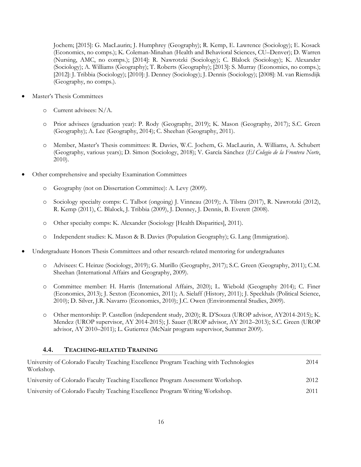Jochem; [2015]: G. MacLaurin; J. Humphrey (Geography); R. Kemp, E. Lawrence (Sociology); E. Kosack (Economics, no comps.); K. Coleman-Minahan (Health and Behavioral Sciences, CU–Denver); D. Warren (Nursing, AMC, no comps.); [2014]: R. Nawrotzki (Sociology); C. Blalock (Sociology); K. Alexander (Sociology); A. Williams (Geography); T. Roberts (Geography); [2013]: S. Murray (Economics, no comps.); [2012]: J. Tribbia (Sociology); [2010]: J. Denney (Sociology); J. Dennis (Sociology); [2008]: M. van Riemsdijk (Geography, no comps.).

- Master's Thesis Committees
	- o Current advisees: N/A.
	- o Prior advisees (graduation year): P. Rody (Geography, 2019); K. Mason (Geography, 2017); S.C. Green (Geography); A. Lee (Geography, 2014); C. Sheehan (Geography, 2011).
	- o Member, Master's Thesis committees: R. Davies, W.C. Jochem, G. MacLaurin, A. Williams, A. Schubert (Geography, various years); D. Simon (Sociology, 2018); V. García Sánchez (*El Colegio de la Frontera Norte*, 2010).
- Other comprehensive and specialty Examination Committees
	- o Geography (not on Dissertation Committee): A. Levy (2009).
	- o Sociology specialty comps: C. Talbot (ongoing) J. Vinneau (2019); A. Tilstra (2017), R. Nawrotzki (2012), R. Kemp (2011), C. Blalock, J. Tribbia (2009), J. Denney, J. Dennis, B. Everett (2008).
	- o Other specialty comps: K. Alexander (Sociology [Health Disparities], 2011).
	- o Independent studies: K. Mason & B. Davies (Population Geography); G. Lang (Immigration).
- Undergraduate Honors Thesis Committees and other research-related mentoring for undergraduates
	- o Advisees: C. Heinze (Sociology, 2019); G. Murillo (Geography, 2017); S.C. Green (Geography, 2011); C.M. Sheehan (International Affairs and Geography, 2009).
	- o Committee member: H. Harris (International Affairs, 2020); L. Wiebold (Geography 2014); C. Finer (Economics, 2013); J. Sexton (Economics, 2011); A. Sielaff (History, 2011); J. Speckhals (Political Science, 2010); D. Silver, J.R. Navarro (Economics, 2010); J.C. Owen (Environmental Studies, 2009).
	- o Other mentorship: P. Castellon (independent study, 2020); R. D'Souza (UROP advisor, AY2014-2015); K. Mendez (UROP supervisor, AY 2014-2015); J. Sauer (UROP advisor, AY 2012–2013); S.C. Green (UROP advisor, AY 2010–2011); L. Gutierrez (McNair program supervisor, Summer 2009).

## **4.4. TEACHING-RELATED TRAINING**

| University of Colorado Faculty Teaching Excellence Program Teaching with Technologies<br>Workshop. | 2014 |
|----------------------------------------------------------------------------------------------------|------|
| University of Colorado Faculty Teaching Excellence Program Assessment Workshop.                    | 2012 |
| University of Colorado Faculty Teaching Excellence Program Writing Workshop.                       | 2011 |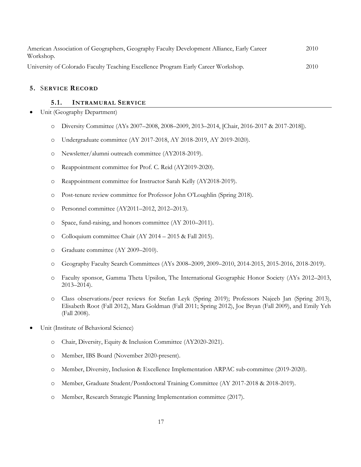| American Association of Geographers, Geography Faculty Development Alliance, Early Career<br>Workshop. | 2010 |
|--------------------------------------------------------------------------------------------------------|------|
| University of Colorado Faculty Teaching Excellence Program Early Career Workshop.                      | 2010 |

## **5.** S**ERVICE RECORD**

### **5.1. INTRAMURAL SERVICE**

- Unit (Geography Department)
	- o Diversity Committee (AYs 2007–2008, 2008–2009, 2013–2014, [Chair, 2016-2017 & 2017-2018]).
	- o Undergraduate committee (AY 2017-2018, AY 2018-2019, AY 2019-2020).
	- o Newsletter/alumni outreach committee (AY2018-2019).
	- o Reappointment committee for Prof. C. Reid (AY2019-2020).
	- o Reappointment committee for Instructor Sarah Kelly (AY2018-2019).
	- o Post-tenure review committee for Professor John O'Loughlin (Spring 2018).
	- o Personnel committee (AY2011–2012, 2012–2013).
	- o Space, fund-raising, and honors committee (AY 2010–2011).
	- o Colloquium committee Chair (AY 2014 2015 & Fall 2015).
	- o Graduate committee (AY 2009–2010).
	- o Geography Faculty Search Committees (AYs 2008–2009, 2009–2010, 2014-2015, 2015-2016, 2018-2019).
	- o Faculty sponsor, Gamma Theta Upsilon, The International Geographic Honor Society (AYs 2012–2013, 2013–2014).
	- o Class observations/peer reviews for Stefan Leyk (Spring 2019); Professors Najeeb Jan (Spring 2013), Elisabeth Root (Fall 2012), Mara Goldman (Fall 2011; Spring 2012), Joe Bryan (Fall 2009), and Emily Yeh (Fall 2008).
- Unit (Institute of Behavioral Science)
	- o Chair, Diversity, Equity & Inclusion Committee (AY2020-2021).
	- o Member, IBS Board (November 2020-present).
	- o Member, Diversity, Inclusion & Excellence Implementation ARPAC sub-committee (2019-2020).
	- o Member, Graduate Student/Postdoctoral Training Committee (AY 2017-2018 & 2018-2019).
	- o Member, Research Strategic Planning Implementation committee (2017).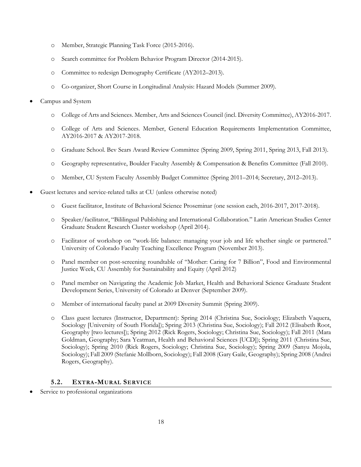- o Member, Strategic Planning Task Force (2015-2016).
- o Search committee for Problem Behavior Program Director (2014-2015).
- o Committee to redesign Demography Certificate (AY2012–2013).
- o Co-organizer, Short Course in Longitudinal Analysis: Hazard Models (Summer 2009).
- Campus and System
	- o College of Arts and Sciences. Member, Arts and Sciences Council (incl. Diversity Committee), AY2016-2017.
	- o College of Arts and Sciences. Member, General Education Requirements Implementation Committee, AY2016-2017 & AY2017-2018.
	- o Graduate School. Bev Sears Award Review Committee (Spring 2009, Spring 2011, Spring 2013, Fall 2013).
	- o Geography representative, Boulder Faculty Assembly & Compensation & Benefits Committee (Fall 2010).
	- o Member, CU System Faculty Assembly Budget Committee (Spring 2011–2014; Secretary, 2012–2013).
- Guest lectures and service-related talks at CU (unless otherwise noted)
	- o Guest facilitator, Institute of Behavioral Science Proseminar (one session each, 2016-2017, 2017-2018).
	- o Speaker/facilitator, "Bililingual Publishing and International Collaboration." Latin American Studies Center Graduate Student Research Cluster workshop (April 2014).
	- o Facilitator of workshop on "work-life balance: managing your job and life whether single or partnered." University of Colorado Faculty Teaching Excellence Program (November 2013).
	- o Panel member on post-screening roundtable of "Mother: Caring for 7 Billion", Food and Environmental Justice Week, CU Assembly for Sustainability and Equity (April 2012)
	- o Panel member on Navigating the Academic Job Market, Health and Behavioral Science Graduate Student Development Series, University of Colorado at Denver (September 2009).
	- o Member of international faculty panel at 2009 Diversity Summit (Spring 2009).
	- o Class guest lectures (Instructor, Department): Spring 2014 (Christina Sue, Sociology; Elizabeth Vaquera, Sociology [University of South Florida]); Spring 2013 (Christina Sue, Sociology); Fall 2012 (Elisabeth Root, Geography [two lectures]); Spring 2012 (Rick Rogers, Sociology; Christina Sue, Sociology); Fall 2011 (Mara Goldman, Geography; Sara Yeatman, Health and Behavioral Sciences [UCD]); Spring 2011 (Christina Sue, Sociology); Spring 2010 (Rick Rogers, Sociology; Christina Sue, Sociology); Spring 2009 (Sanyu Mojola, Sociology); Fall 2009 (Stefanie Mollborn, Sociology); Fall 2008 (Gary Gaile, Geography); Spring 2008 (Andrei Rogers, Geography).

## **5.2. EXTRA-MURAL SERVICE**

Service to professional organizations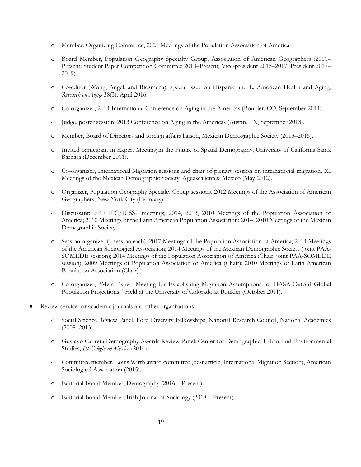- o Member, Organizing Committee, 2021 Meetings of the Population Association of America.
- o Board Member, Population Geography Specialty Group, Association of American Geographers (2011– Present; Student Paper Competition Committee 2013–Present; Vice-president 2015–2017; President 2017– 2019).
- o Co-editor (Wong, Angel, and Riosmena), special issue on Hispanic and L. American Health and Aging, *Research on Aging* 38(3), April 2016.
- o Co-organizer, 2014 International Conference on Aging in the Americas (Boulder, CO, September 2014).
- o Judge, poster session. 2013 Conference on Aging in the Americas (Austin, TX, September 2013).
- o Member, Board of Directors and foreign affairs liaison, Mexican Demographic Society (2013–2015).
- o Invited participant in Expert Meeting in the Future of Spatial Demography, University of California Santa Barbara (December 2011).
- o Co-organizer, International Migration sessions and chair of plenary session on international migration. XI Meetings of the Mexican Demographic Society. Aguascalientes, Mexico (May 2012).
- o Organizer, Population Geography Specialty Group sessions. 2012 Meetings of the Association of American Geographers, New York City (February).
- o Discussant: 2017 IPC/IUSSP meetings; 2014, 2013, 2010 Meetings of the Population Association of America; 2010 Meetings of the Latin American Population Association; 2014, 2010 Meetings of the Mexican Demographic Society.
- o Session organizer (1 session each): 2017 Meetings of the Population Association of America; 2014 Meetings of the American Sociological Association; 2014 Meetings of the Mexican Demographic Society (joint PAA-SOMEDE session); 2014 Meetings of the Population Association of America (Chair, joint PAA-SOMEDE session), 2009 Meetings of Population Association of America (Chair); 2010 Meetings of Latin American Population Association (Chair).
- o Co-organizer, "Meta-Expert Meeting for Establishing Migration Assumptions for IIASA-Oxford Global Population Projections." Held at the University of Colorado at Boulder (October 2011).
- Review service for academic journals and other organizations
	- o Social Science Review Panel, Ford Diversity Fellowships, National Research Council, National Academies (2008–2013).
	- o Gustavo Cabrera Demography Awards Review Panel, Center for Demographic, Urban, and Environmental Studies, *El Colegio de México* (2014).
	- o Committee member, Louis Wirth award committee (best article, International Migration Section), American Sociological Association (2015).
	- o Editorial Board Member, Demography (2016 Present).
	- o Editorial Board Member, Irish Journal of Sociology (2018 Present).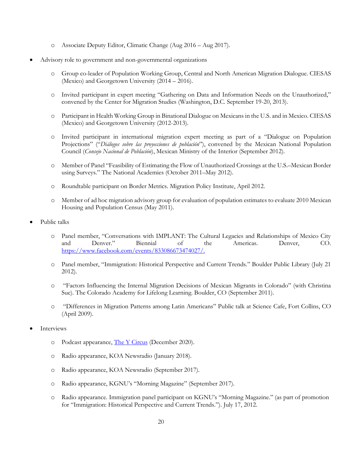- o Associate Deputy Editor, Climatic Change (Aug 2016 Aug 2017).
- Advisory role to government and non-governmental organizations
	- o Group co-leader of Population Working Group, Central and North American Migration Dialogue. CIESAS (Mexico) and Georgetown University (2014 – 2016).
	- o Invited participant in expert meeting "Gathering on Data and Information Needs on the Unauthorized," convened by the Center for Migration Studies (Washington, D.C. September 19-20, 2013).
	- o Participant in Health Working Group in Binational Dialogue on Mexicans in the U.S. and in Mexico. CIESAS (Mexico) and Georgetown University (2012-2013).
	- o Invited participant in international migration expert meeting as part of a "Dialogue on Population Projections" ("*Diálogos sobre las proyecciones de población*"), convened by the Mexican National Population Council (*Consejo Nacional de Población*), Mexican Ministry of the Interior (September 2012).
	- o Member of Panel "Feasibility of Estimating the Flow of Unauthorized Crossings at the U.S.–Mexican Border using Surveys." The National Academies (October 2011–May 2012).
	- o Roundtable participant on Border Metrics. Migration Policy Institute, April 2012.
	- o Member of ad hoc migration advisory group for evaluation of population estimates to evaluate 2010 Mexican Housing and Population Census (May 2011).
- Public talks
	- o Panel member, "Conversations with IMPLANT: The Cultural Legacies and Relationships of Mexico City and Denver." Biennial of the Americas. Denver, CO. [https://www.facebook.com/events/833086673474027/.](https://www.facebook.com/events/833086673474027/)
	- o Panel member, "Immigration: Historical Perspective and Current Trends." Boulder Public Library (July 21 2012).
	- o "Factors Influencing the Internal Migration Decisions of Mexican Migrants in Colorado" (with Christina Sue). The Colorado Academy for Lifelong Learning. Boulder, CO (September 2011).
	- o "Differences in Migration Patterns among Latin Americans" Public talk at Science Cafe, Fort Collins, CO (April 2009).
- **Interviews** 
	- o Podcast appearance, [The Y Circus](https://podcasts.apple.com/es/podcast/la-metropolitana-designed-to-make-a-difference/id1524224837?i=1000501842276) (December 2020).
	- o Radio appearance, KOA Newsradio (January 2018).
	- o Radio appearance, KOA Newsradio (September 2017).
	- o Radio appearance, KGNU's "Morning Magazine" (September 2017).
	- o Radio appearance. Immigration panel participant on KGNU's "Morning Magazine." (as part of promotion for "Immigration: Historical Perspective and Current Trends."). July 17, 2012.